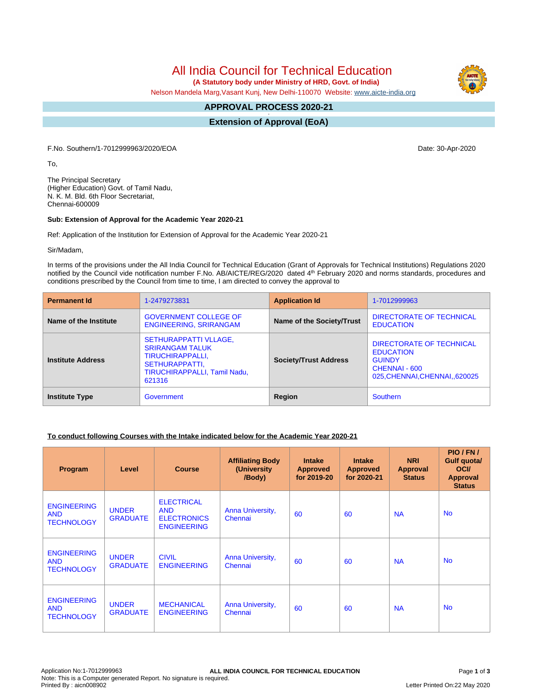All India Council for Technical Education

 **(A Statutory body under Ministry of HRD, Govt. of India)**

Nelson Mandela Marg,Vasant Kunj, New Delhi-110070 Website: [www.aicte-india.org](http://www.aicte-india.org)

#### **APPROVAL PROCESS 2020-21 -**

**Extension of Approval (EoA)**

F.No. Southern/1-7012999963/2020/EOA Date: 30-Apr-2020

To,

The Principal Secretary (Higher Education) Govt. of Tamil Nadu, N. K. M. Bld. 6th Floor Secretariat, Chennai-600009

#### **Sub: Extension of Approval for the Academic Year 2020-21**

Ref: Application of the Institution for Extension of Approval for the Academic Year 2020-21

Sir/Madam,

In terms of the provisions under the All India Council for Technical Education (Grant of Approvals for Technical Institutions) Regulations 2020 notified by the Council vide notification number F.No. AB/AICTE/REG/2020 dated 4<sup>th</sup> February 2020 and norms standards, procedures and conditions prescribed by the Council from time to time, I am directed to convey the approval to

| <b>Permanent Id</b>      | 1-2479273831                                                                                                                           | <b>Application Id</b>        | 1-7012999963                                                                                                    |
|--------------------------|----------------------------------------------------------------------------------------------------------------------------------------|------------------------------|-----------------------------------------------------------------------------------------------------------------|
| Name of the Institute    | <b>GOVERNMENT COLLEGE OF</b><br><b>ENGINEERING, SRIRANGAM</b>                                                                          | Name of the Society/Trust    | DIRECTORATE OF TECHNICAL<br><b>EDUCATION</b>                                                                    |
| <b>Institute Address</b> | <b>SETHURAPPATTI VLLAGE,</b><br><b>SRIRANGAM TALUK</b><br>TIRUCHIRAPPALLI,<br>SETHURAPPATTI,<br>TIRUCHIRAPPALLI, Tamil Nadu,<br>621316 | <b>Society/Trust Address</b> | DIRECTORATE OF TECHNICAL<br><b>EDUCATION</b><br><b>GUINDY</b><br>CHENNAI - 600<br>025, CHENNAI, CHENNAI, 620025 |
| <b>Institute Type</b>    | Government                                                                                                                             | Region                       | <b>Southern</b>                                                                                                 |

### **To conduct following Courses with the Intake indicated below for the Academic Year 2020-21**

| Program                                               | Level                           | <b>Course</b>                                                               | <b>Affiliating Body</b><br>(University)<br>/Body) | <b>Intake</b><br><b>Approved</b><br>for 2019-20 | <b>Intake</b><br><b>Approved</b><br>for 2020-21 | <b>NRI</b><br>Approval<br><b>Status</b> | PIO/FN/<br>Gulf quota/<br><b>OCI</b><br><b>Approval</b><br><b>Status</b> |
|-------------------------------------------------------|---------------------------------|-----------------------------------------------------------------------------|---------------------------------------------------|-------------------------------------------------|-------------------------------------------------|-----------------------------------------|--------------------------------------------------------------------------|
| <b>ENGINEERING</b><br><b>AND</b><br><b>TECHNOLOGY</b> | <b>UNDER</b><br><b>GRADUATE</b> | <b>ELECTRICAL</b><br><b>AND</b><br><b>ELECTRONICS</b><br><b>ENGINEERING</b> | Anna University,<br>Chennai                       | 60                                              | 60                                              | <b>NA</b>                               | <b>No</b>                                                                |
| <b>ENGINEERING</b><br><b>AND</b><br><b>TECHNOLOGY</b> | <b>UNDER</b><br><b>GRADUATE</b> | <b>CIVIL</b><br><b>ENGINEERING</b>                                          | Anna University,<br>Chennai                       | 60                                              | 60                                              | <b>NA</b>                               | <b>No</b>                                                                |
| <b>ENGINEERING</b><br><b>AND</b><br><b>TECHNOLOGY</b> | <b>UNDER</b><br><b>GRADUATE</b> | <b>MECHANICAL</b><br><b>ENGINEERING</b>                                     | Anna University,<br>Chennai                       | 60                                              | 60                                              | <b>NA</b>                               | <b>No</b>                                                                |

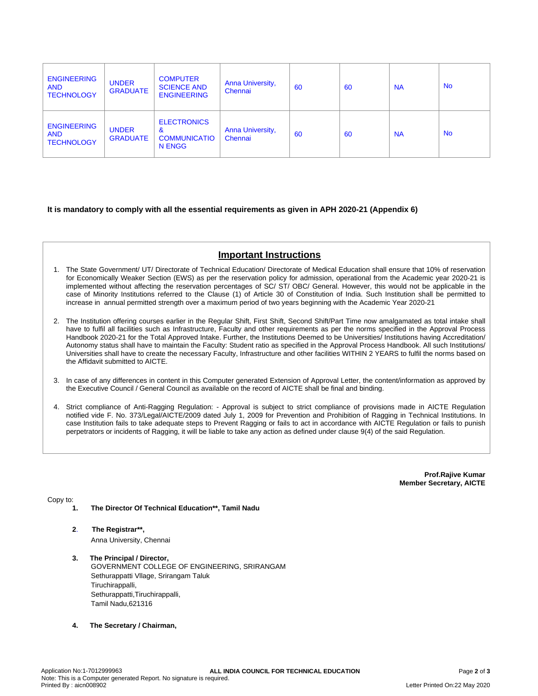| <b>ENGINEERING</b><br><b>AND</b><br><b>TECHNOLOGY</b> | <b>UNDER</b><br><b>GRADUATE</b> | <b>COMPUTER</b><br><b>SCIENCE AND</b><br><b>ENGINEERING</b> | <b>Anna University,</b><br>Chennai | 60 | 60 | <b>NA</b> | <b>No</b> |
|-------------------------------------------------------|---------------------------------|-------------------------------------------------------------|------------------------------------|----|----|-----------|-----------|
| <b>ENGINEERING</b><br><b>AND</b><br><b>TECHNOLOGY</b> | <b>UNDER</b><br><b>GRADUATE</b> | <b>ELECTRONICS</b><br>&<br><b>COMMUNICATIO</b><br>N ENGG    | <b>Anna University,</b><br>Chennai | 60 | 60 | <b>NA</b> | <b>No</b> |

### **It is mandatory to comply with all the essential requirements as given in APH 2020-21 (Appendix 6)**

# **Important Instructions**

- 1. The State Government/ UT/ Directorate of Technical Education/ Directorate of Medical Education shall ensure that 10% of reservation for Economically Weaker Section (EWS) as per the reservation policy for admission, operational from the Academic year 2020-21 is implemented without affecting the reservation percentages of SC/ ST/ OBC/ General. However, this would not be applicable in the case of Minority Institutions referred to the Clause (1) of Article 30 of Constitution of India. Such Institution shall be permitted to increase in annual permitted strength over a maximum period of two years beginning with the Academic Year 2020-21
- 2. The Institution offering courses earlier in the Regular Shift, First Shift, Second Shift/Part Time now amalgamated as total intake shall have to fulfil all facilities such as Infrastructure, Faculty and other requirements as per the norms specified in the Approval Process Handbook 2020-21 for the Total Approved Intake. Further, the Institutions Deemed to be Universities/ Institutions having Accreditation/ Autonomy status shall have to maintain the Faculty: Student ratio as specified in the Approval Process Handbook. All such Institutions/ Universities shall have to create the necessary Faculty, Infrastructure and other facilities WITHIN 2 YEARS to fulfil the norms based on the Affidavit submitted to AICTE.
- 3. In case of any differences in content in this Computer generated Extension of Approval Letter, the content/information as approved by the Executive Council / General Council as available on the record of AICTE shall be final and binding.
- 4. Strict compliance of Anti-Ragging Regulation: Approval is subject to strict compliance of provisions made in AICTE Regulation notified vide F. No. 373/Legal/AICTE/2009 dated July 1, 2009 for Prevention and Prohibition of Ragging in Technical Institutions. In case Institution fails to take adequate steps to Prevent Ragging or fails to act in accordance with AICTE Regulation or fails to punish perpetrators or incidents of Ragging, it will be liable to take any action as defined under clause 9(4) of the said Regulation.

**Prof.Rajive Kumar Member Secretary, AICTE**

Copy to:

- **1. The Director Of Technical Education\*\*, Tamil Nadu**
- **2**. **The Registrar\*\*,** Anna University, Chennai
- **3. The Principal / Director,** GOVERNMENT COLLEGE OF ENGINEERING, SRIRANGAM Sethurappatti Vllage, Srirangam Taluk Tiruchirappalli, Sethurappatti,Tiruchirappalli, Tamil Nadu,621316
- **4. The Secretary / Chairman,**